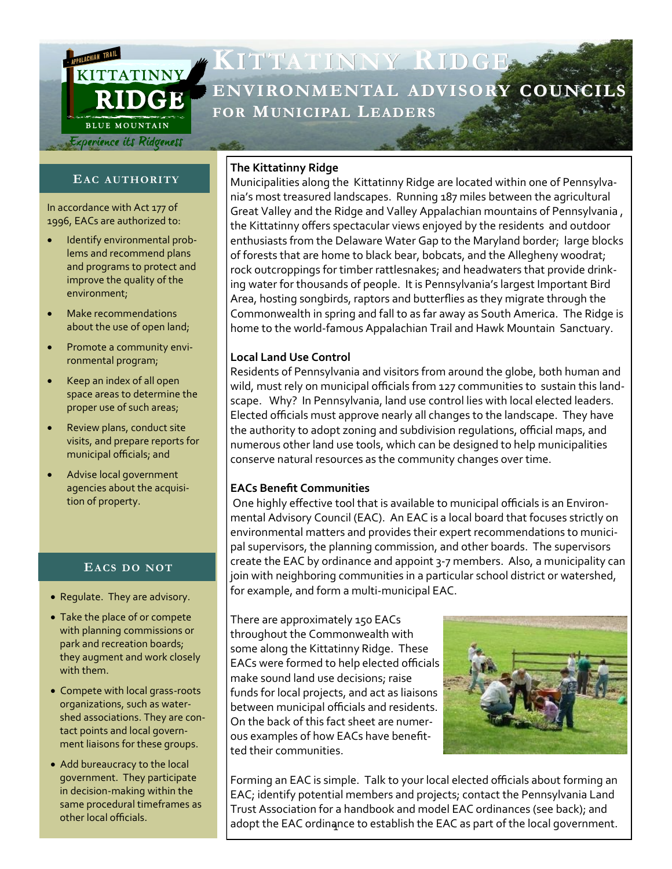

# **KITTATINNY RIDGE ENVIRONMENTAL ADVISORY COUNC FOR MUNICIPAL LEADERS**

# **EAC AUTHORITY**

In accordance with Act 177 of 1996, EACs are authorized to:

- Identify environmental problems and recommend plans and programs to protect and improve the quality of the environment;
- Make recommendations about the use of open land;
- Promote a community environmental program;
- Keep an index of all open space areas to determine the proper use of such areas;
- Review plans, conduct site visits, and prepare reports for municipal officials; and
- Advise local government agencies about the acquisition of property.

# **EACS DO NOT**

- Regulate. They are advisory.
- Take the place of or compete with planning commissions or park and recreation boards; they augment and work closely with them.
- Compete with local grass-roots organizations, such as watershed associations. They are contact points and local government liaisons for these groups.
- Add bureaucracy to the local government. They participate in decision-making within the same procedural timeframes as other local officials.

#### **The Kittatinny Ridge**

Municipalities along the Kittatinny Ridge are located within one of Pennsylvania's most treasured landscapes. Running 187 miles between the agricultural Great Valley and the Ridge and Valley Appalachian mountains of Pennsylvania , the Kittatinny offers spectacular views enjoyed by the residents and outdoor enthusiasts from the Delaware Water Gap to the Maryland border; large blocks of forests that are home to black bear, bobcats, and the Allegheny woodrat; rock outcroppings for timber rattlesnakes; and headwaters that provide drinking water for thousands of people. It is Pennsylvania's largest Important Bird Area, hosting songbirds, raptors and butterflies as they migrate through the Commonwealth in spring and fall to as far away as South America. The Ridge is home to the world-famous Appalachian Trail and Hawk Mountain Sanctuary.

## **Local Land Use Control**

Residents of Pennsylvania and visitors from around the globe, both human and wild, must rely on municipal officials from 127 communities to sustain this landscape. Why? In Pennsylvania, land use control lies with local elected leaders. Elected officials must approve nearly all changes to the landscape. They have the authority to adopt zoning and subdivision regulations, official maps, and numerous other land use tools, which can be designed to help municipalities conserve natural resources as the community changes over time.

# **EACs Benefit Communities**

One highly effective tool that is available to municipal officials is an Environmental Advisory Council (EAC). An EAC is a local board that focuses strictly on environmental matters and provides their expert recommendations to municipal supervisors, the planning commission, and other boards. The supervisors create the EAC by ordinance and appoint 3-7 members. Also, a municipality can join with neighboring communities in a particular school district or watershed, for example, and form a multi-municipal EAC.

There are approximately 150 EACs throughout the Commonwealth with some along the Kittatinny Ridge. These EACs were formed to help elected officials make sound land use decisions; raise funds for local projects, and act as liaisons between municipal officials and residents. On the back of this fact sheet are numerous examples of how EACs have benefitted their communities.



adopt the EAC ordinance to establish the EAC as part of the local government. Forming an EAC is simple. Talk to your local elected officials about forming an EAC; identify potential members and projects; contact the Pennsylvania Land Trust Association for a handbook and model EAC ordinances (see back); and